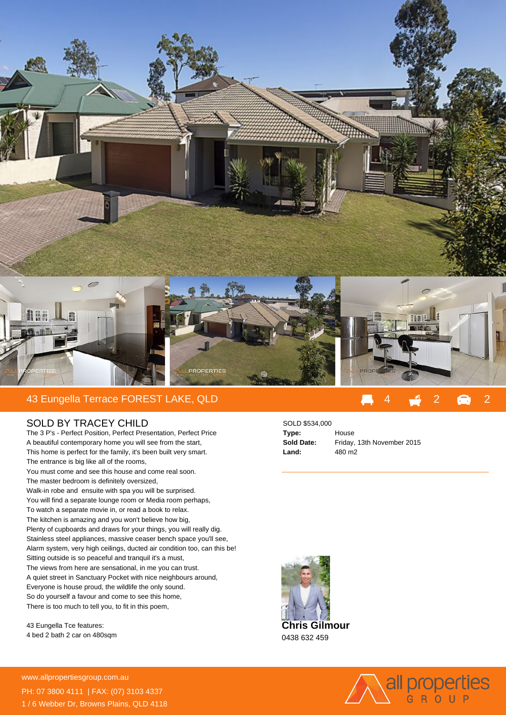

## 43 Eungella Terrace FOREST LAKE, QLD 43 Eungella Terrace FOREST LAKE, QLD

## SOLD BY TRACEY CHILD

The 3 P's - Perfect Position, Perfect Presentation, Perfect Price A beautiful contemporary home you will see from the start, This home is perfect for the family, it's been built very smart. The entrance is big like all of the rooms, You must come and see this house and come real soon. The master bedroom is definitely oversized, Walk-in robe and ensuite with spa you will be surprised. You will find a separate lounge room or Media room perhaps, To watch a separate movie in, or read a book to relax. The kitchen is amazing and you won't believe how big, Plenty of cupboards and draws for your things, you will really dig. Stainless steel appliances, massive ceaser bench space you'll see, Alarm system, very high ceilings, ducted air condition too, can this be! Sitting outside is so peaceful and tranquil it's a must, The views from here are sensational, in me you can trust. A quiet street in Sanctuary Pocket with nice neighbours around, Everyone is house proud, the wildlife the only sound. So do yourself a favour and come to see this home, There is too much to tell you, to fit in this poem,

43 Eungella Tce features: 4 bed 2 bath 2 car on 480sqm

## SOLD \$534,000 **Type:** House **Sold Date:** Friday, 13th November 2015 **Land:** 480 m2



0438 632 459



**For more details please visit** www.allpropertiesgroup.com.au/<br>2321399 PH: 07 3800 4111 | FAX: (07) 3103 4337 1 / 6 Webber Dr, Browns Plains, QLD 4118